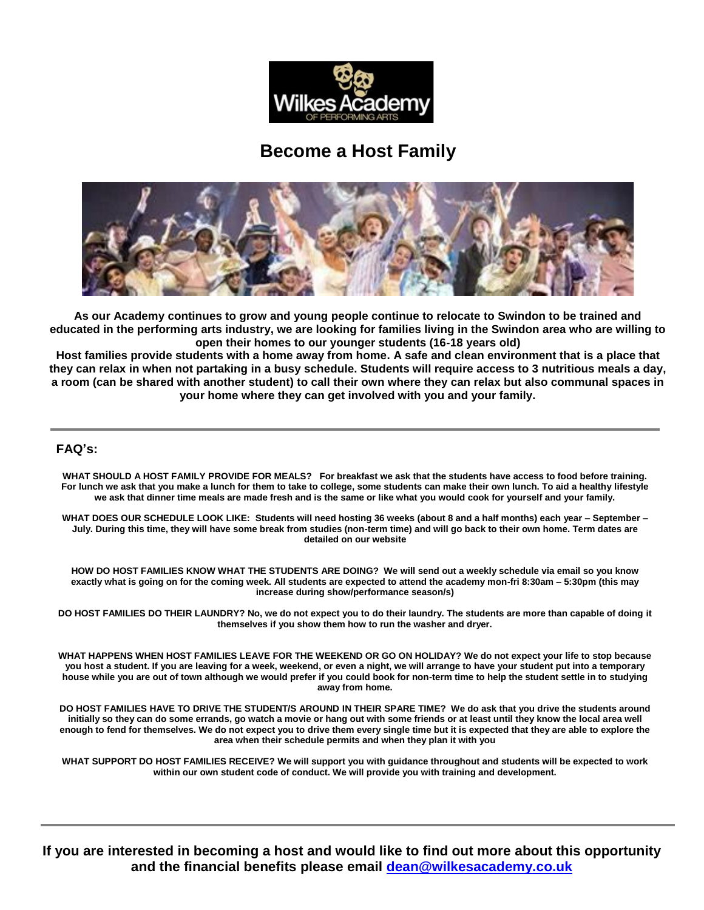

## **Become a Host Family**



**As our Academy continues to grow and young people continue to relocate to Swindon to be trained and educated in the performing arts industry, we are looking for families living in the Swindon area who are willing to open their homes to our younger students (16-18 years old)**

**Host families provide students with a home away from home. A safe and clean environment that is a place that they can relax in when not partaking in a busy schedule. Students will require access to 3 nutritious meals a day, a room (can be shared with another student) to call their own where they can relax but also communal spaces in your home where they can get involved with you and your family.**

## **FAQ's:**

**WHAT SHOULD A HOST FAMILY PROVIDE FOR MEALS? For breakfast we ask that the students have access to food before training. For lunch we ask that you make a lunch for them to take to college, some students can make their own lunch. To aid a healthy lifestyle we ask that dinner time meals are made fresh and is the same or like what you would cook for yourself and your family.**

**WHAT DOES OUR SCHEDULE LOOK LIKE: Students will need hosting 36 weeks (about 8 and a half months) each year – September – July. During this time, they will have some break from studies (non-term time) and will go back to their own home. Term dates are detailed on our website**

**HOW DO HOST FAMILIES KNOW WHAT THE STUDENTS ARE DOING? We will send out a weekly schedule via email so you know exactly what is going on for the coming week. All students are expected to attend the academy mon-fri 8:30am – 5:30pm (this may increase during show/performance season/s)**

**DO HOST FAMILIES DO THEIR LAUNDRY? No, we do not expect you to do their laundry. The students are more than capable of doing it themselves if you show them how to run the washer and dryer.**

**WHAT HAPPENS WHEN HOST FAMILIES LEAVE FOR THE WEEKEND OR GO ON HOLIDAY? We do not expect your life to stop because you host a student. If you are leaving for a week, weekend, or even a night, we will arrange to have your student put into a temporary house while you are out of town although we would prefer if you could book for non-term time to help the student settle in to studying away from home.**

**DO HOST FAMILIES HAVE TO DRIVE THE STUDENT/S AROUND IN THEIR SPARE TIME? We do ask that you drive the students around initially so they can do some errands, go watch a movie or hang out with some friends or at least until they know the local area well enough to fend for themselves. We do not expect you to drive them every single time but it is expected that they are able to explore the area when their schedule permits and when they plan it with you**

**WHAT SUPPORT DO HOST FAMILIES RECEIVE? We will support you with guidance throughout and students will be expected to work within our own student code of conduct. We will provide you with training and development.**

**If you are interested in becoming a host and would like to find out more about this opportunity and the financial benefits please email [dean@wilkesacademy.co.uk](mailto:dean@wilkesacademy.co.uk)**